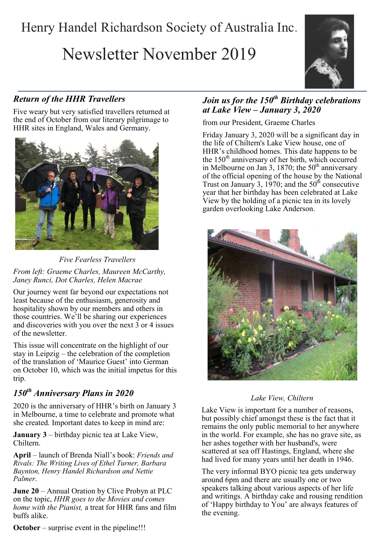## Henry Handel Richardson Society of Australia Inc.

# Newsletter November 2019



## *Return of the HHR Travellers*

Five weary but very satisfied travellers returned at the end of October from our literary pilgrimage to HHR sites in England, Wales and Germany.



*Five Fearless Travellers From left: Graeme Charles, Maureen McCarthy, Janey Runci, Dot Charles, Helen Macrae*

Our journey went far beyond our expectations not least because of the enthusiasm, generosity and hospitality shown by our members and others in those countries. We'll be sharing our experiences and discoveries with you over the next 3 or 4 issues of the newsletter.

This issue will concentrate on the highlight of our stay in Leipzig – the celebration of the completion of the translation of 'Maurice Guest' into German on October 10, which was the initial impetus for this trip.

## *150th Anniversary Plans in 2020*

2020 is the anniversary of HHR's birth on January 3 in Melbourne, a time to celebrate and promote what she created. Important dates to keep in mind are:

**January 3** – birthday picnic tea at Lake View, Chiltern.

**April** – launch of Brenda Niall's book: *Friends and Rivals: The Writing Lives of Ethel Turner, Barbara Baynton, Henry Handel Richardson and Nettie Palmer*.

**June 20** – Annual Oration by Clive Probyn at PLC on the topic, *HHR goes to the Movies and comes home with the Pianist,* a treat for HHR fans and film buffs alike.

## *Join us for the 150th Birthday celebrations at Lake View – January 3, 2020*

from our President, Graeme Charles

Friday January 3, 2020 will be a significant day in the life of Chiltern's Lake View house, one of HHR's childhood homes. This date happens to be the  $150<sup>th</sup>$  anniversary of her birth, which occurred in Melbourne on Jan 3, 1870; the  $50<sup>th</sup>$  anniversary of the official opening of the house by the National Trust on January 3, 1970; and the  $50<sup>th</sup>$  consecutive year that her birthday has been celebrated at Lake View by the holding of a picnic tea in its lovely garden overlooking Lake Anderson.



## *Lake View, Chiltern*

Lake View is important for a number of reasons, but possibly chief amongst these is the fact that it remains the only public memorial to her anywhere in the world. For example, she has no grave site, as her ashes together with her husband's, were scattered at sea off Hastings, England, where she had lived for many years until her death in 1946.

The very informal BYO picnic tea gets underway around 6pm and there are usually one or two speakers talking about various aspects of her life and writings. A birthday cake and rousing rendition of 'Happy birthday to You' are always features of the evening.

**October** – surprise event in the pipeline!!!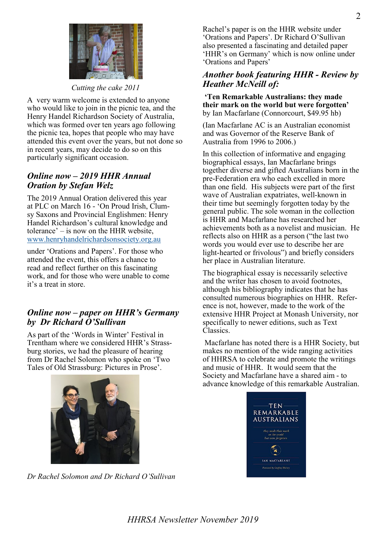

*Cutting the cake 2011*

A very warm welcome is extended to anyone who would like to join in the picnic tea, and the Henry Handel Richardson Society of Australia, which was formed over ten years ago following the picnic tea, hopes that people who may have attended this event over the years, but not done so in recent years, may decide to do so on this particularly significant occasion.

## *Online now – 2019 HHR Annual Oration by Stefan Welz*

The 2019 Annual Oration delivered this year at PLC on March 16 - 'On Proud Irish, Clumsy Saxons and Provincial Englishmen: Henry Handel Richardson's cultural knowledge and tolerance' – is now on the HHR website, [www.henryhandelrichardsonsociety.org.au](http://www.henryhandelrichardsonsociety.org.au)

under 'Orations and Papers'. For those who attended the event, this offers a chance to read and reflect further on this fascinating work, and for those who were unable to come it's a treat in store.

## *Online now – paper on HHR's Germany by Dr Richard O'Sullivan*

As part of the 'Words in Winter' Festival in Trentham where we considered HHR's Strassburg stories, we had the pleasure of hearing from Dr Rachel Solomon who spoke on 'Two Tales of Old Strassburg: Pictures in Prose'.



## *Another book featuring HHR - Review by Heather McNeill of:*

**'Ten Remarkable Australians: they made their mark on the world but were forgotten'**  by Ian Macfarlane (Connorcourt, \$49.95 hb)

(Ian Macfarlane AC is an Australian economist and was Governor of the Reserve Bank of Australia from 1996 to 2006.)

In this collection of informative and engaging biographical essays, Ian Macfarlane brings together diverse and gifted Australians born in the pre-Federation era who each excelled in more than one field. His subjects were part of the first wave of Australian expatriates, well-known in their time but seemingly forgotten today by the general public. The sole woman in the collection is HHR and Macfarlane has researched her achievements both as a novelist and musician. He reflects also on HHR as a person ("the last two words you would ever use to describe her are light-hearted or frivolous") and briefly considers her place in Australian literature.

The biographical essay is necessarily selective and the writer has chosen to avoid footnotes, although his bibliography indicates that he has consulted numerous biographies on HHR. Reference is not, however, made to the work of the extensive HHR Project at Monash University, nor specifically to newer editions, such as Text Classics.

Macfarlane has noted there is a HHR Society, but makes no mention of the wide ranging activities of HHRSA to celebrate and promote the writings and music of HHR. It would seem that the Society and Macfarlane have a shared aim - to advance knowledge of this remarkable Australian.





*Dr Rachel Solomon and Dr Richard O'Sullivan*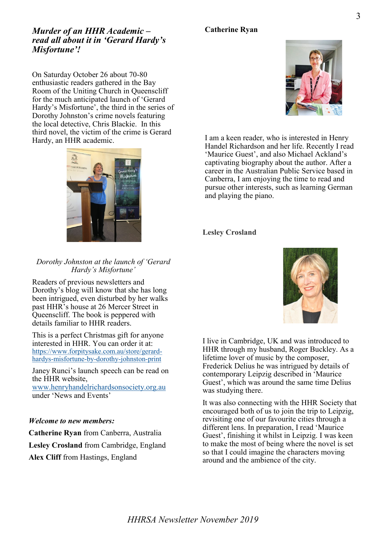## **Catherine Ryan**

## *Murder of an HHR Academic – read all about it in 'Gerard Hardy's Misfortune'!*

On Saturday October 26 about 70-80 enthusiastic readers gathered in the Bay Room of the Uniting Church in Queenscliff for the much anticipated launch of 'Gerard Hardy's Misfortune', the third in the series of Dorothy Johnston's crime novels featuring the local detective, Chris Blackie. In this third novel, the victim of the crime is Gerard Hardy, an HHR academic.



#### *Dorothy Johnston at the launch of 'Gerard Hardy's Misfortune'*

Readers of previous newsletters and Dorothy's blog will know that she has long been intrigued, even disturbed by her walks past HHR's house at 26 Mercer Street in Queenscliff. The book is peppered with details familiar to HHR readers.

This is a perfect Christmas gift for anyone interested in HHR. You can order it at: [https://www.forpitysake.com.au/store/gerard](https://www.forpitysake.com.au/store/gerard-hardys-misfortune-by-dorothy-johnston-print)hardys-[misfortune](https://www.forpitysake.com.au/store/gerard-hardys-misfortune-by-dorothy-johnston-print)-by-dorothy-johnston-print

Janey Runci's launch speech can be read on the HHR website,

[www.henryhandelrichardsonsociety.org.au](http://www.henryhandelrichardsonsociety.org.au) under 'News and Events'

#### *Welcome to new members:*

**Catherine Ryan** from Canberra, Australia **Lesley Crosland** from Cambridge, England **Alex Cliff** from Hastings, England



I am a keen reader, who is interested in Henry Handel Richardson and her life. Recently I read 'Maurice Guest', and also Michael Ackland's captivating biography about the author. After a career in the Australian Public Service based in Canberra, I am enjoying the time to read and pursue other interests, such as learning German and playing the piano.

#### **Lesley Crosland**



I live in Cambridge, UK and was introduced to HHR through my husband, Roger Buckley. As a lifetime lover of music by the composer, Frederick Delius he was intrigued by details of contemporary Leipzig described in 'Maurice Guest', which was around the same time Delius was studying there.

It was also connecting with the HHR Society that encouraged both of us to join the trip to Leipzig, revisiting one of our favourite cities through a different lens. In preparation, I read 'Maurice Guest', finishing it whilst in Leipzig. I was keen to make the most of being where the novel is set so that I could imagine the characters moving around and the ambience of the city.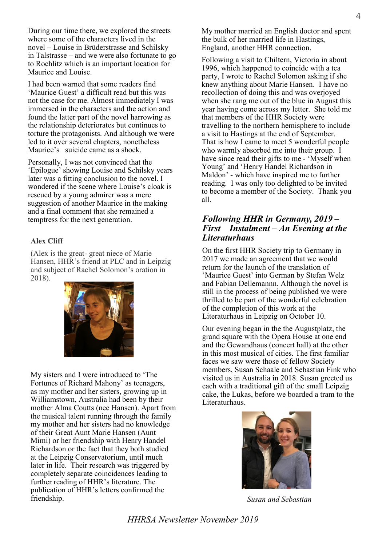During our time there, we explored the streets where some of the characters lived in the novel – Louise in Brüderstrasse and Schilsky in Talstrasse – and we were also fortunate to go to Rochlitz which is an important location for Maurice and Louise.

I had been warned that some readers find 'Maurice Guest' a difficult read but this was not the case for me. Almost immediately I was immersed in the characters and the action and found the latter part of the novel harrowing as the relationship deteriorates but continues to torture the protagonists. And although we were led to it over several chapters, nonetheless Maurice's suicide came as a shock.

Personally, I was not convinced that the 'Epilogue' showing Louise and Schilsky years later was a fitting conclusion to the novel. I wondered if the scene where Louise's cloak is rescued by a young admirer was a mere suggestion of another Maurice in the making and a final comment that she remained a temptress for the next generation.

#### **Alex Cliff**

(Alex is the great- great niece of Marie Hansen, HHR's friend at PLC and in Leipzig and subject of Rachel Solomon's oration in 2018).



My sisters and I were introduced to 'The Fortunes of Richard Mahony' as teenagers, as my mother and her sisters, growing up in Williamstown, Australia had been by their mother Alma Coutts (nee Hansen). Apart from the musical talent running through the family my mother and her sisters had no knowledge of their Great Aunt Marie Hansen (Aunt Mimi) or her friendship with Henry Handel Richardson or the fact that they both studied at the Leipzig Conservatorium, until much later in life. Their research was triggered by completely separate coincidences leading to further reading of HHR's literature. The publication of HHR's letters confirmed the friendship.

My mother married an English doctor and spent the bulk of her married life in Hastings, England, another HHR connection.

Following a visit to Chiltern, Victoria in about 1996, which happened to coincide with a tea party, I wrote to Rachel Solomon asking if she knew anything about Marie Hansen. I have no recollection of doing this and was overjoyed when she rang me out of the blue in August this year having come across my letter. She told me that members of the HHR Society were travelling to the northern hemisphere to include a visit to Hastings at the end of September. That is how I came to meet 5 wonderful people who warmly absorbed me into their group. I have since read their gifts to me - 'Myself when Young' and 'Henry Handel Richardson in Maldon' - which have inspired me to further reading. I was only too delighted to be invited to become a member of the Society. Thank you all.

#### *Following HHR in Germany, 2019 – First Instalment – An Evening at the Literaturhaus*

On the first HHR Society trip to Germany in 2017 we made an agreement that we would return for the launch of the translation of 'Maurice Guest' into German by Stefan Welz and Fabian Dellemannn. Although the novel is still in the process of being published we were thrilled to be part of the wonderful celebration of the completion of this work at the Literaturhaus in Leipzig on October 10.

Our evening began in the the Augustplatz, the grand square with the Opera House at one end and the Gewandhaus (concert hall) at the other in this most musical of cities. The first familiar faces we saw were those of fellow Society members, Susan Schaale and Sebastian Fink who visited us in Australia in 2018. Susan greeted us each with a traditional gift of the small Leipzig cake, the Lukas, before we boarded a tram to the Literaturhaus.



*Susan and Sebastian*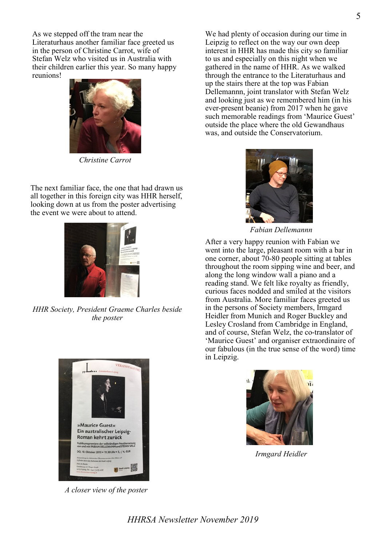As we stepped off the tram near the Literaturhaus another familiar face greeted us in the person of Christine Carrot, wife of Stefan Welz who visited us in Australia with their children earlier this year. So many happy reunions!



*Christine Carrot*

The next familiar face, the one that had drawn us all together in this foreign city was HHR herself, looking down at us from the poster advertising the event we were about to attend.



*HHR Society, President Graeme Charles beside the poster*



*A closer view of the poster*

We had plenty of occasion during our time in Leipzig to reflect on the way our own deep interest in HHR has made this city so familiar to us and especially on this night when we gathered in the name of HHR. As we walked through the entrance to the Literaturhaus and up the stairs there at the top was Fabian Dellemannn, joint translator with Stefan Welz and looking just as we remembered him (in his ever-present beanie) from 2017 when he gave such memorable readings from 'Maurice Guest' outside the place where the old Gewandhaus was, and outside the Conservatorium.



*Fabian Dellemannn*

After a very happy reunion with Fabian we went into the large, pleasant room with a bar in one corner, about 70-80 people sitting at tables throughout the room sipping wine and beer, and along the long window wall a piano and a reading stand. We felt like royalty as friendly, curious faces nodded and smiled at the visitors from Australia. More familiar faces greeted us in the persons of Society members, Irmgard Heidler from Munich and Roger Buckley and Lesley Crosland from Cambridge in England, and of course, Stefan Welz, the co-translator of 'Maurice Guest' and organiser extraordinaire of our fabulous (in the true sense of the word) time in Leipzig.



*Irmgard Heidler*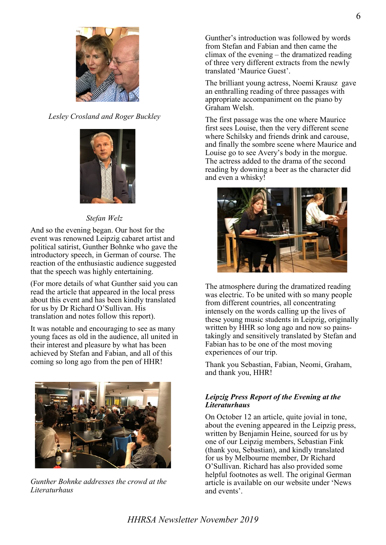

*Lesley Crosland and Roger Buckley*



## *Stefan Welz*

And so the evening began. Our host for the event was renowned Leipzig cabaret artist and political satirist, Gunther Bohnke who gave the introductory speech, in German of course. The reaction of the enthusiastic audience suggested that the speech was highly entertaining.

(For more details of what Gunther said you can read the article that appeared in the local press about this event and has been kindly translated for us by Dr Richard O'Sullivan. His translation and notes follow this report).

It was notable and encouraging to see as many young faces as old in the audience, all united in their interest and pleasure by what has been achieved by Stefan and Fabian, and all of this coming so long ago from the pen of HHR!



*Gunther Bohnke addresses the crowd at the Literaturhaus*

Gunther's introduction was followed by words from Stefan and Fabian and then came the climax of the evening – the dramatized reading of three very different extracts from the newly translated 'Maurice Guest'.

The brilliant young actress, Noemi Krausz gave an enthralling reading of three passages with appropriate accompaniment on the piano by Graham Welsh.

The first passage was the one where Maurice first sees Louise, then the very different scene where Schilsky and friends drink and carouse, and finally the sombre scene where Maurice and Louise go to see Avery's body in the morgue. The actress added to the drama of the second reading by downing a beer as the character did and even a whisky!



The atmosphere during the dramatized reading was electric. To be united with so many people from different countries, all concentrating intensely on the words calling up the lives of these young music students in Leipzig, originally written by HHR so long ago and now so painstakingly and sensitively translated by Stefan and Fabian has to be one of the most moving experiences of our trip.

Thank you Sebastian, Fabian, Neomi, Graham, and thank you, HHR!

#### *Leipzig Press Report of the Evening at the Literaturhaus*

On October 12 an article, quite jovial in tone, about the evening appeared in the Leipzig press, written by Benjamin Heine, sourced for us by one of our Leipzig members, Sebastian Fink (thank you, Sebastian), and kindly translated for us by Melbourne member, Dr Richard O'Sullivan. Richard has also provided some helpful footnotes as well. The original German article is available on our website under 'News and events'.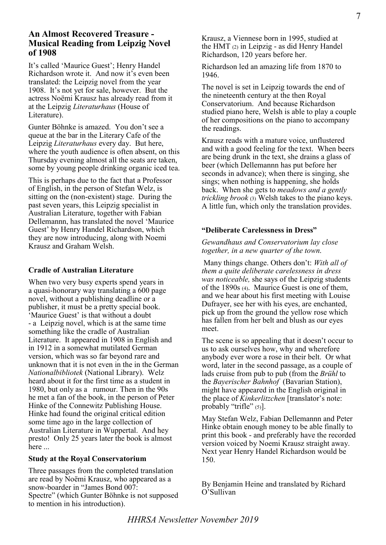It's called 'Maurice Guest'; Henry Handel Richardson wrote it. And now it's even been translated: the Leipzig novel from the year 1908. It's not yet for sale, however. But the actress Noëmi Krausz has already read from it at the Leipzig *Literaturhaus* (House of Literature).

Gunter Böhnke is amazed. You don't see a queue at the bar in the Literary Cafe of the Leipzig *Literaturhaus* every day. But here, where the youth audience is often absent, on this Thursday evening almost all the seats are taken, some by young people drinking organic iced tea.

This is perhaps due to the fact that a Professor of English, in the person of Stefan Welz, is sitting on the (non-existent) stage. During the past seven years, this Leipzig specialist in Australian Literature, together with Fabian Dellemannn, has translated the novel 'Maurice Guest' by Henry Handel Richardson, which they are now introducing, along with Noemi Krausz and Graham Welsh.

#### **Cradle of Australian Literature**

When two very busy experts spend years in a quasi-honorary way translating a 600 page novel, without a publishing deadline or a publisher, it must be a pretty special book. 'Maurice Guest' is that without a doubt - a Leipzig novel, which is at the same time something like the cradle of Australian Literature. It appeared in 1908 in English and in 1912 in a somewhat mutilated German version, which was so far beyond rare and unknown that it is not even in the in the German *Nationalbibliotek* (National Library). Welz heard about it for the first time as a student in 1980, but only as a rumour. Then in the 90s he met a fan of the book, in the person of Peter Hinke of the Connewitz Publishing House. Hinke had found the original critical edition some time ago in the large collection of Australian Literature in Wuppertal. And hey presto! Only 25 years later the book is almost here ...

#### **Study at the Royal Conservatorium**

Three passages from the completed translation are read by Noëmi Krausz, who appeared as a snow-boarder in "James Bond 007: Spectre" (which Gunter Böhnke is not supposed to mention in his introduction).

Krausz, a Viennese born in 1995, studied at the HMT (2) in Leipzig - as did Henry Handel Richardson, 120 years before her.

Richardson led an amazing life from 1870 to 1946.

The novel is set in Leipzig towards the end of the nineteenth century at the then Royal Conservatorium. And because Richardson studied piano here, Welsh is able to play a couple of her compositions on the piano to accompany the readings.

Krausz reads with a mature voice, unflustered and with a good feeling for the text. When beers are being drunk in the text, she drains a glass of beer (which Dellemannn has put before her seconds in advance); when there is singing, she sings; when nothing is happening, she holds back. When she gets to *meadows and a gently trickling brook* (3) Welsh takes to the piano keys. A little fun, which only the translation provides.

#### **"Deliberate Carelessness in Dress"**

#### *Gewandhaus and Conservatorium lay close together, in a new quarter of the town*.

Many things change. Others don't: *With all of them a quite deliberate carelessness in dress was noticeable,* she says of the Leipzig students of the 1890s (4). Maurice Guest is one of them, and we hear about his first meeting with Louise Dufrayer, see her with his eyes, are enchanted, pick up from the ground the yellow rose which has fallen from her belt and blush as our eyes meet.

The scene is so appealing that it doesn't occur to us to ask ourselves how, why and wherefore anybody ever wore a rose in their belt. Or what word, later in the second passage, as a couple of lads cruise from pub to pub (from the *Brühl* to the *Bayerischer Bahnhof* (Bavarian Station), might have appeared in the English original in the place of *Kinkerlitzchen* [translator's note: probably "trifle"  $(5)$ ].

May Stefan Welz, Fabian Dellemannn and Peter Hinke obtain enough money to be able finally to print this book - and preferably have the recorded version voiced by Noemi Krausz straight away. Next year Henry Handel Richardson would be 150.

By Benjamin Heine and translated by Richard O'Sullivan